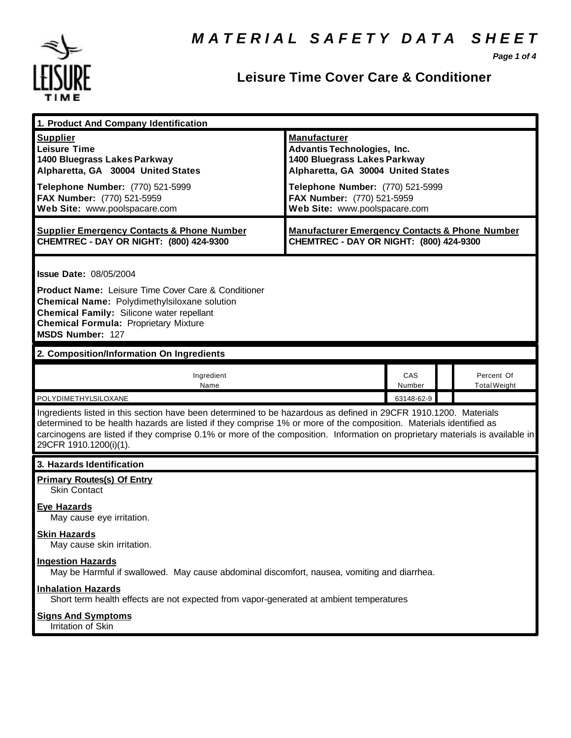

# **Leisure Time Cover Care & Conditioner**

*Page 1 of 4*

| 1. Product And Company Identification                                                                                                                                                                                                                                                                                                                                                             |                                                                                                                                 |               |                                   |  |
|---------------------------------------------------------------------------------------------------------------------------------------------------------------------------------------------------------------------------------------------------------------------------------------------------------------------------------------------------------------------------------------------------|---------------------------------------------------------------------------------------------------------------------------------|---------------|-----------------------------------|--|
| <b>Supplier</b><br><b>Leisure Time</b><br>1400 Bluegrass Lakes Parkway<br>Alpharetta, GA 30004 United States                                                                                                                                                                                                                                                                                      | <b>Manufacturer</b><br><b>Advantis Technologies, Inc.</b><br>1400 Bluegrass Lakes Parkway<br>Alpharetta, GA 30004 United States |               |                                   |  |
| Telephone Number: (770) 521-5999<br>FAX Number: (770) 521-5959<br>Web Site: www.poolspacare.com                                                                                                                                                                                                                                                                                                   | Telephone Number: (770) 521-5999<br>FAX Number: (770) 521-5959<br>Web Site: www.poolspacare.com                                 |               |                                   |  |
| <b>Supplier Emergency Contacts &amp; Phone Number</b><br>CHEMTREC - DAY OR NIGHT: (800) 424-9300                                                                                                                                                                                                                                                                                                  | <b>Manufacturer Emergency Contacts &amp; Phone Number</b><br>CHEMTREC - DAY OR NIGHT: (800) 424-9300                            |               |                                   |  |
| <b>Issue Date: 08/05/2004</b><br><b>Product Name:</b> Leisure Time Cover Care & Conditioner<br><b>Chemical Name: Polydimethylsiloxane solution</b><br><b>Chemical Family: Silicone water repellant</b><br><b>Chemical Formula: Proprietary Mixture</b><br>MSDS Number: 127                                                                                                                        |                                                                                                                                 |               |                                   |  |
| 2. Composition/Information On Ingredients                                                                                                                                                                                                                                                                                                                                                         |                                                                                                                                 |               |                                   |  |
| Ingredient<br>Name                                                                                                                                                                                                                                                                                                                                                                                |                                                                                                                                 | CAS<br>Number | Percent Of<br><b>Total Weight</b> |  |
| POLYDIMETHYLSILOXANE                                                                                                                                                                                                                                                                                                                                                                              |                                                                                                                                 | 63148-62-9    |                                   |  |
| Ingredients listed in this section have been determined to be hazardous as defined in 29CFR 1910.1200. Materials<br>determined to be health hazards are listed if they comprise 1% or more of the composition. Materials identified as<br>carcinogens are listed if they comprise 0.1% or more of the composition. Information on proprietary materials is available in<br>29CFR 1910.1200(i)(1). |                                                                                                                                 |               |                                   |  |
| 3. Hazards Identification                                                                                                                                                                                                                                                                                                                                                                         |                                                                                                                                 |               |                                   |  |
| <b>Primary Routes(s) Of Entry</b><br><b>Skin Contact</b>                                                                                                                                                                                                                                                                                                                                          |                                                                                                                                 |               |                                   |  |
| <b>Eye Hazards</b><br>May cause eye irritation.                                                                                                                                                                                                                                                                                                                                                   |                                                                                                                                 |               |                                   |  |
| <b>Skin Hazards</b><br>May cause skin irritation.                                                                                                                                                                                                                                                                                                                                                 |                                                                                                                                 |               |                                   |  |
| <b>Ingestion Hazards</b><br>May be Harmful if swallowed. May cause abdominal discomfort, nausea, vomiting and diarrhea.                                                                                                                                                                                                                                                                           |                                                                                                                                 |               |                                   |  |
| <b>Inhalation Hazards</b><br>Short term health effects are not expected from vapor-generated at ambient temperatures                                                                                                                                                                                                                                                                              |                                                                                                                                 |               |                                   |  |
| <b>Signs And Symptoms</b><br>Irritation of Skin                                                                                                                                                                                                                                                                                                                                                   |                                                                                                                                 |               |                                   |  |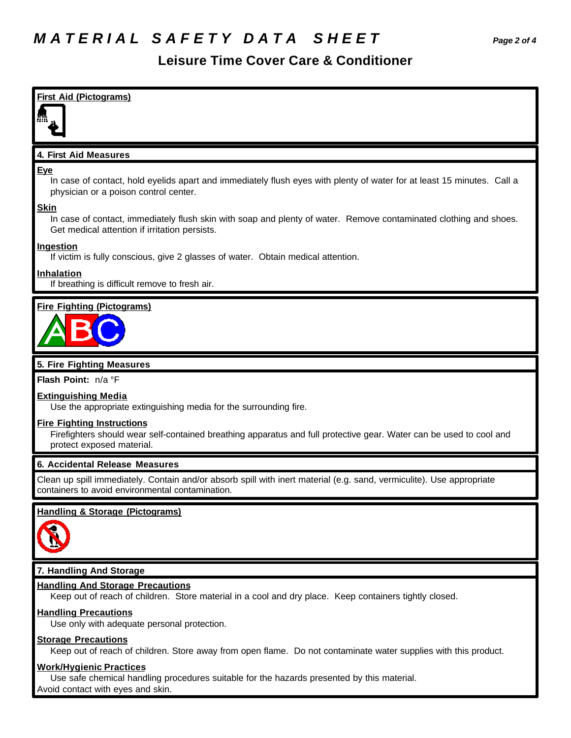# *M A T E R I A L S A F E T Y D A T A S H E E T Page 2 of 4*



# **Extinguishing Media**

Use the appropriate extinguishing media for the surrounding fire.

### **Fire Fighting Instructions**

Firefighters should wear self-contained breathing apparatus and full protective gear. Water can be used to cool and protect exposed material.

### **6. Accidental Release Measures**

Clean up spill immediately. Contain and/or absorb spill with inert material (e.g. sand, vermiculite). Use appropriate containers to avoid environmental contamination.

## **Handling & Storage (Pictograms)**



## **7. Handling And Storage**

### **Handling And Storage Precautions**

Keep out of reach of children. Store material in a cool and dry place. Keep containers tightly closed.

#### **Handling Precautions**

Use only with adequate personal protection.

# **Storage Precautions**

Keep out of reach of children. Store away from open flame. Do not contaminate water supplies with this product.

# **Work/Hygienic Practices**

Use safe chemical handling procedures suitable for the hazards presented by this material. Avoid contact with eyes and skin.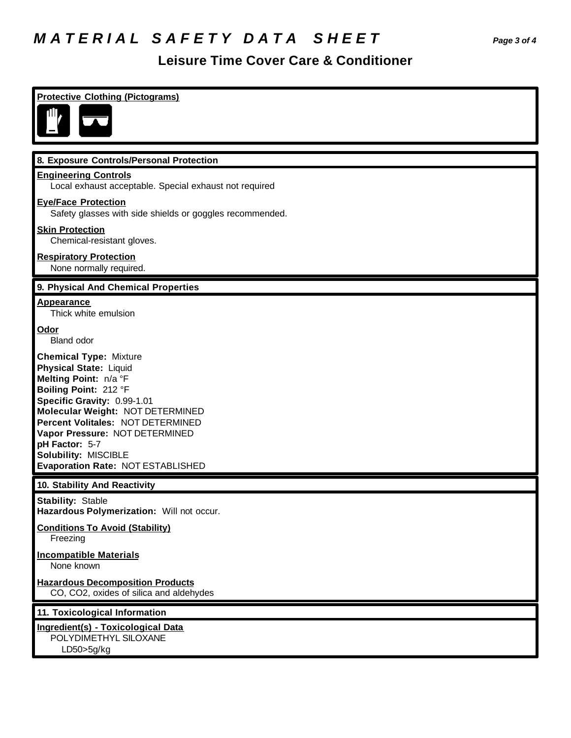# *M A T E R I A L S A F E T Y D A T A S H E E T Page 3 of 4*

# **Leisure Time Cover Care & Conditioner**

| <b>Protective Clothing (Pictograms)</b>                                                                                                                                                                                                                                                                                                          |
|--------------------------------------------------------------------------------------------------------------------------------------------------------------------------------------------------------------------------------------------------------------------------------------------------------------------------------------------------|
| 8. Exposure Controls/Personal Protection                                                                                                                                                                                                                                                                                                         |
| <b>Engineering Controls</b><br>Local exhaust acceptable. Special exhaust not required                                                                                                                                                                                                                                                            |
| <b>Eye/Face Protection</b><br>Safety glasses with side shields or goggles recommended.                                                                                                                                                                                                                                                           |
| <b>Skin Protection</b><br>Chemical-resistant gloves.                                                                                                                                                                                                                                                                                             |
| <b>Respiratory Protection</b><br>None normally required.                                                                                                                                                                                                                                                                                         |
| 9. Physical And Chemical Properties                                                                                                                                                                                                                                                                                                              |
| <b>Appearance</b><br>Thick white emulsion                                                                                                                                                                                                                                                                                                        |
| <u>Odor</u><br><b>Bland odor</b>                                                                                                                                                                                                                                                                                                                 |
| <b>Chemical Type: Mixture</b><br><b>Physical State: Liquid</b><br>Melting Point: n/a °F<br>Boiling Point: 212 °F<br>Specific Gravity: 0.99-1.01<br>Molecular Weight: NOT DETERMINED<br>Percent Volitales: NOT DETERMINED<br>Vapor Pressure: NOT DETERMINED<br>pH Factor: 5-7<br><b>Solubility: MISCIBLE</b><br>Evaporation Rate: NOT ESTABLISHED |
| 10. Stability And Reactivity                                                                                                                                                                                                                                                                                                                     |
| <b>Stability: Stable</b><br>Hazardous Polymerization: Will not occur.                                                                                                                                                                                                                                                                            |
| <b>Conditions To Avoid (Stability)</b><br>Freezing                                                                                                                                                                                                                                                                                               |
| <b>Incompatible Materials</b><br>None known                                                                                                                                                                                                                                                                                                      |
| <b>Hazardous Decomposition Products</b><br>CO, CO2, oxides of silica and aldehydes                                                                                                                                                                                                                                                               |
| 11. Toxicological Information                                                                                                                                                                                                                                                                                                                    |
| Ingredient(s) - Toxicological Data<br>POLYDIMETHYL SILOXANE<br>LD50>5g/kg                                                                                                                                                                                                                                                                        |